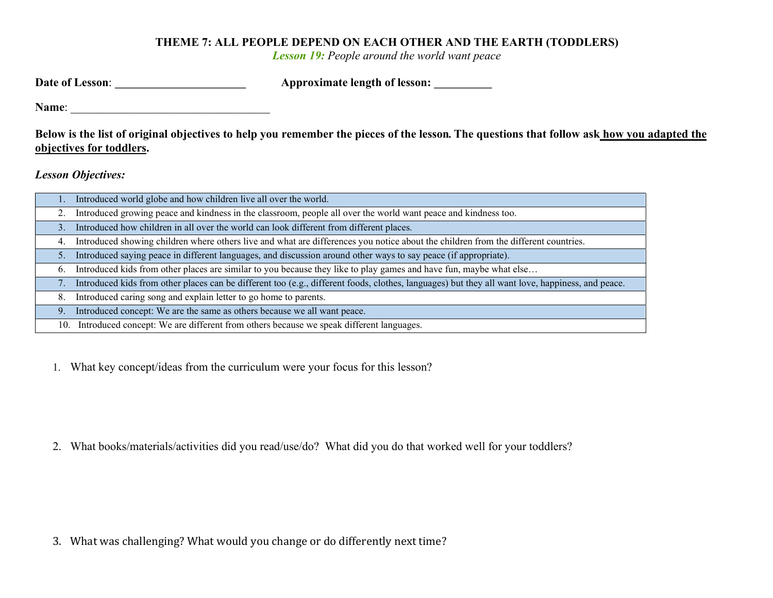## THEME 7: ALL PEOPLE DEPEND ON EACH OTHER AND THE EARTH (TODDLERS)

Lesson 19: People around the world want peace

| Date of Lesson: | Approximate length of lesson: |
|-----------------|-------------------------------|
|-----------------|-------------------------------|

Name:

Below is the list of original objectives to help you remember the pieces of the lesson. The questions that follow ask how you adapted the objectives for toddlers.

Lesson Objectives:

|    | Introduced world globe and how children live all over the world.                                                                                 |
|----|--------------------------------------------------------------------------------------------------------------------------------------------------|
|    | Introduced growing peace and kindness in the classroom, people all over the world want peace and kindness too.                                   |
| 3. | Introduced how children in all over the world can look different from different places.                                                          |
| 4. | Introduced showing children where others live and what are differences you notice about the children from the different countries.               |
| 5. | Introduced saying peace in different languages, and discussion around other ways to say peace (if appropriate).                                  |
| 6. | Introduced kids from other places are similar to you because they like to play games and have fun, maybe what else                               |
| 7. | Introduced kids from other places can be different too (e.g., different foods, clothes, languages) but they all want love, happiness, and peace. |
| 8. | Introduced caring song and explain letter to go home to parents.                                                                                 |
| 9. | Introduced concept: We are the same as others because we all want peace.                                                                         |
|    | 10. Introduced concept: We are different from others because we speak different languages.                                                       |
|    |                                                                                                                                                  |

1. What key concept/ideas from the curriculum were your focus for this lesson?

2. What books/materials/activities did you read/use/do? What did you do that worked well for your toddlers?

3. What was challenging? What would you change or do differently next time?